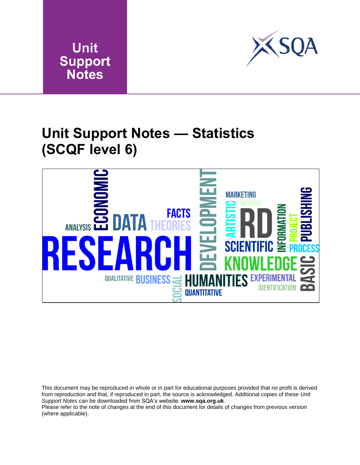



### **Unit Support Notes — Statistics (SCQF level 6)**



This document may be reproduced in whole or in part for educational purposes provided that no profit is derived from reproduction and that, if reproduced in part, the source is acknowledged. Additional copies of these *Unit Support Notes* can be downloaded from SQA's website: **www.sqa.org.uk**. Please refer to the note of changes at the end of this document for details of changes from previous version (where applicable).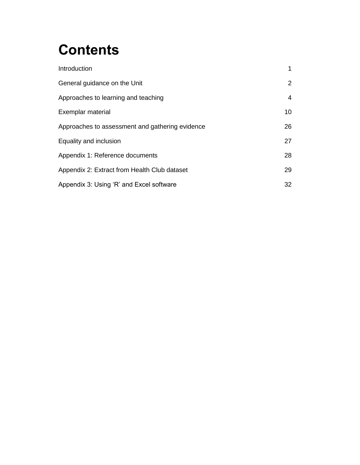## **Contents**

| Introduction                                    |                       |
|-------------------------------------------------|-----------------------|
| General guidance on the Unit                    | $\mathbf{2}^{\prime}$ |
| Approaches to learning and teaching             | 4                     |
| Exemplar material                               | 10 <sup>1</sup>       |
| Approaches to assessment and gathering evidence | 26                    |
| Equality and inclusion                          | 27                    |
| Appendix 1: Reference documents                 | 28                    |
| Appendix 2: Extract from Health Club dataset    | 29                    |
| Appendix 3: Using 'R' and Excel software        | 32                    |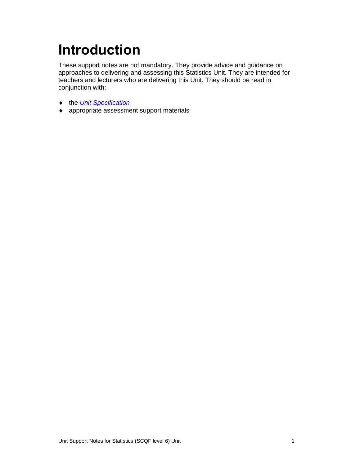## <span id="page-2-0"></span>**Introduction**

These support notes are not mandatory. They provide advice and guidance on approaches to delivering and assessing this Statistics Unit. They are intended for teachers and lecturers who are delivering this Unit. They should be read in conjunction with:

- the *[Unit Specification](http://www.sqa.org.uk/sqa/73224.html)*
- appropriate assessment support materials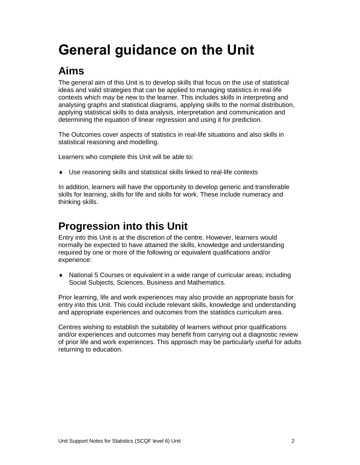## <span id="page-3-0"></span>**General guidance on the Unit**

### **Aims**

The general aim of this Unit is to develop skills that focus on the use of statistical ideas and valid strategies that can be applied to managing statistics in real-life contexts which may be new to the learner. This includes skills in interpreting and analysing graphs and statistical diagrams, applying skills to the normal distribution, applying statistical skills to data analysis, interpretation and communication and determining the equation of linear regression and using it for prediction.

The Outcomes cover aspects of statistics in real-life situations and also skills in statistical reasoning and modelling.

Learners who complete this Unit will be able to:

Use reasoning skills and statistical skills linked to real-life contexts

In addition, learners will have the opportunity to develop generic and transferable skills for learning, skills for life and skills for work. These include numeracy and thinking skills.

### **Progression into this Unit**

Entry into this Unit is at the discretion of the centre. However, learners would normally be expected to have attained the skills, knowledge and understanding required by one or more of the following or equivalent qualifications and/or experience:

 National 5 Courses or equivalent in a wide range of curricular areas; including Social Subjects, Sciences, Business and Mathematics.

Prior learning, life and work experiences may also provide an appropriate basis for entry into this Unit. This could include relevant skills, knowledge and understanding and appropriate experiences and outcomes from the statistics curriculum area.

Centres wishing to establish the suitability of learners without prior qualifications and/or experiences and outcomes may benefit from carrying out a diagnostic review of prior life and work experiences. This approach may be particularly useful for adults returning to education.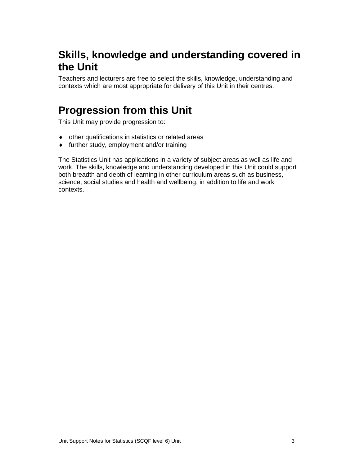### **Skills, knowledge and understanding covered in the Unit**

Teachers and lecturers are free to select the skills, knowledge, understanding and contexts which are most appropriate for delivery of this Unit in their centres.

### **Progression from this Unit**

This Unit may provide progression to:

- other qualifications in statistics or related areas
- further study, employment and/or training

The Statistics Unit has applications in a variety of subject areas as well as life and work. The skills, knowledge and understanding developed in this Unit could support both breadth and depth of learning in other curriculum areas such as business, science, social studies and health and wellbeing, in addition to life and work contexts.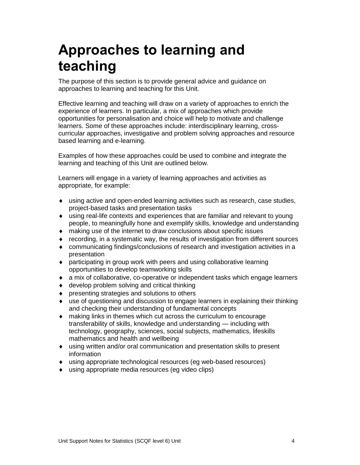### <span id="page-5-0"></span>**Approaches to learning and teaching**

The purpose of this section is to provide general advice and guidance on approaches to learning and teaching for this Unit.

Effective learning and teaching will draw on a variety of approaches to enrich the experience of learners. In particular, a mix of approaches which provide opportunities for personalisation and choice will help to motivate and challenge learners. Some of these approaches include: interdisciplinary learning, crosscurricular approaches, investigative and problem solving approaches and resource based learning and e-learning.

Examples of how these approaches could be used to combine and integrate the learning and teaching of this Unit are outlined below.

Learners will engage in a variety of learning approaches and activities as appropriate, for example:

- using active and open-ended learning activities such as research, case studies, project-based tasks and presentation tasks
- using real-life contexts and experiences that are familiar and relevant to young people, to meaningfully hone and exemplify skills, knowledge and understanding
- making use of the internet to draw conclusions about specific issues
- recording, in a systematic way, the results of investigation from different sources
- communicating findings/conclusions of research and investigation activities in a presentation
- participating in group work with peers and using collaborative learning opportunities to develop teamworking skills
- a mix of collaborative, co-operative or independent tasks which engage learners
- develop problem solving and critical thinking
- ◆ presenting strategies and solutions to others
- use of questioning and discussion to engage learners in explaining their thinking and checking their understanding of fundamental concepts
- making links in themes which cut across the curriculum to encourage transferability of skills, knowledge and understanding — including with technology, geography, sciences, social subjects, mathematics, lifeskills mathematics and health and wellbeing
- using written and/or oral communication and presentation skills to present information
- using appropriate technological resources (eg web-based resources)
- using appropriate media resources (eg video clips)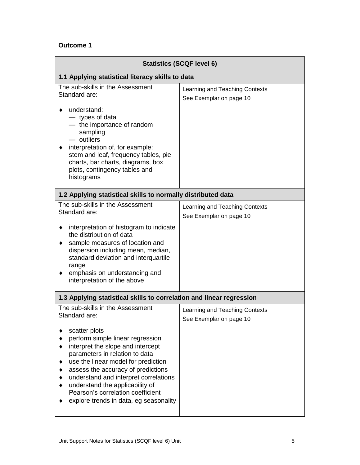#### **Outcome 1**

| <b>Statistics (SCQF level 6)</b>                                                                                                                                                                                                                                                                                                                                                                                      |                                                           |  |  |  |
|-----------------------------------------------------------------------------------------------------------------------------------------------------------------------------------------------------------------------------------------------------------------------------------------------------------------------------------------------------------------------------------------------------------------------|-----------------------------------------------------------|--|--|--|
| 1.1 Applying statistical literacy skills to data                                                                                                                                                                                                                                                                                                                                                                      |                                                           |  |  |  |
| The sub-skills in the Assessment<br>Standard are:<br>understand:<br>- types of data<br>- the importance of random<br>sampling<br>- outliers<br>interpretation of, for example:<br>stem and leaf, frequency tables, pie<br>charts, bar charts, diagrams, box<br>plots, contingency tables and<br>histograms                                                                                                            | Learning and Teaching Contexts<br>See Exemplar on page 10 |  |  |  |
| 1.2 Applying statistical skills to normally distributed data                                                                                                                                                                                                                                                                                                                                                          |                                                           |  |  |  |
| The sub-skills in the Assessment<br>Standard are:<br>interpretation of histogram to indicate<br>the distribution of data<br>sample measures of location and<br>dispersion including mean, median,<br>standard deviation and interquartile<br>range<br>emphasis on understanding and<br>interpretation of the above                                                                                                    | Learning and Teaching Contexts<br>See Exemplar on page 10 |  |  |  |
| 1.3 Applying statistical skills to correlation and linear regression                                                                                                                                                                                                                                                                                                                                                  |                                                           |  |  |  |
| The sub-skills in the Assessment<br>Standard are:<br>scatter plots<br>perform simple linear regression<br>interpret the slope and intercept<br>parameters in relation to data<br>use the linear model for prediction<br>assess the accuracy of predictions<br>understand and interpret correlations<br>understand the applicability of<br>Pearson's correlation coefficient<br>explore trends in data, eg seasonality | Learning and Teaching Contexts<br>See Exemplar on page 10 |  |  |  |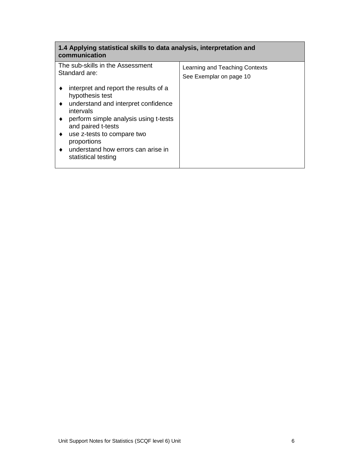| 1.4 Applying statistical skills to data analysis, interpretation and<br>communication                                                                                                                                                                                                                        |                                                           |  |  |  |
|--------------------------------------------------------------------------------------------------------------------------------------------------------------------------------------------------------------------------------------------------------------------------------------------------------------|-----------------------------------------------------------|--|--|--|
| The sub-skills in the Assessment<br>Standard are:                                                                                                                                                                                                                                                            | Learning and Teaching Contexts<br>See Exemplar on page 10 |  |  |  |
| interpret and report the results of a<br>hypothesis test<br>understand and interpret confidence<br>$\bullet$<br>intervals<br>perform simple analysis using t-tests<br>and paired t-tests<br>use z-tests to compare two<br>٠<br>proportions<br>understand how errors can arise in<br>٠<br>statistical testing |                                                           |  |  |  |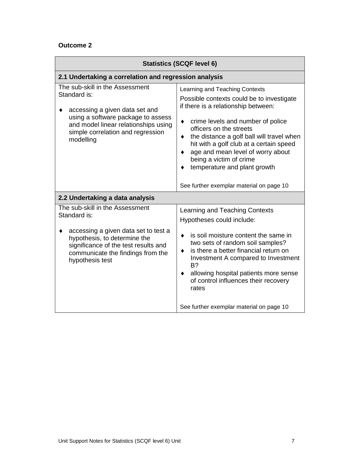#### **Outcome 2**

|                                                                                                                                                                                                                   | <b>Statistics (SCQF level 6)</b>                                                                                                                                                                                                                                                                                                                                                     |  |  |  |
|-------------------------------------------------------------------------------------------------------------------------------------------------------------------------------------------------------------------|--------------------------------------------------------------------------------------------------------------------------------------------------------------------------------------------------------------------------------------------------------------------------------------------------------------------------------------------------------------------------------------|--|--|--|
| 2.1 Undertaking a correlation and regression analysis                                                                                                                                                             |                                                                                                                                                                                                                                                                                                                                                                                      |  |  |  |
| The sub-skill in the Assessment<br>Standard is:<br>accessing a given data set and<br>using a software package to assess<br>and model linear relationships using<br>simple correlation and regression<br>modelling | Learning and Teaching Contexts<br>Possible contexts could be to investigate<br>if there is a relationship between:<br>crime levels and number of police<br>٠<br>officers on the streets<br>the distance a golf ball will travel when<br>٠<br>hit with a golf club at a certain speed<br>age and mean level of worry about<br>being a victim of crime<br>temperature and plant growth |  |  |  |
|                                                                                                                                                                                                                   | See further exemplar material on page 10                                                                                                                                                                                                                                                                                                                                             |  |  |  |
| 2.2 Undertaking a data analysis                                                                                                                                                                                   |                                                                                                                                                                                                                                                                                                                                                                                      |  |  |  |
| The sub-skill in the Assessment<br>Standard is:                                                                                                                                                                   | Learning and Teaching Contexts<br>Hypotheses could include:                                                                                                                                                                                                                                                                                                                          |  |  |  |
| accessing a given data set to test a<br>hypothesis, to determine the<br>significance of the test results and<br>communicate the findings from the<br>hypothesis test                                              | is soil moisture content the same in<br>two sets of random soil samples?<br>is there a better financial return on<br>٠<br>Investment A compared to Investment<br>B?<br>allowing hospital patients more sense<br>of control influences their recovery<br>rates                                                                                                                        |  |  |  |
|                                                                                                                                                                                                                   | See further exemplar material on page 10                                                                                                                                                                                                                                                                                                                                             |  |  |  |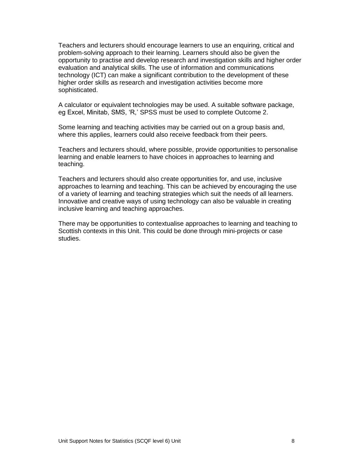Teachers and lecturers should encourage learners to use an enquiring, critical and problem-solving approach to their learning. Learners should also be given the opportunity to practise and develop research and investigation skills and higher order evaluation and analytical skills. The use of information and communications technology (ICT) can make a significant contribution to the development of these higher order skills as research and investigation activities become more sophisticated.

A calculator or equivalent technologies may be used. A suitable software package, eg Excel, Minitab, SMS, 'R,' SPSS must be used to complete Outcome 2.

Some learning and teaching activities may be carried out on a group basis and, where this applies, learners could also receive feedback from their peers.

Teachers and lecturers should, where possible, provide opportunities to personalise learning and enable learners to have choices in approaches to learning and teaching.

Teachers and lecturers should also create opportunities for, and use, inclusive approaches to learning and teaching. This can be achieved by encouraging the use of a variety of learning and teaching strategies which suit the needs of all learners. Innovative and creative ways of using technology can also be valuable in creating inclusive learning and teaching approaches.

There may be opportunities to contextualise approaches to learning and teaching to Scottish contexts in this Unit. This could be done through mini-projects or case studies.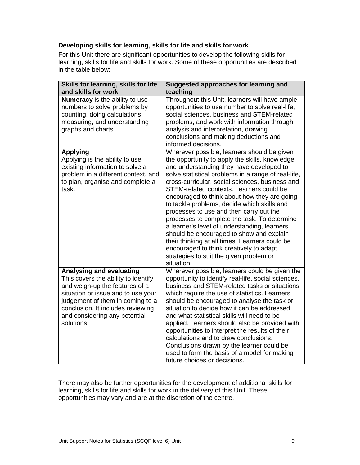#### **Developing skills for learning, skills for life and skills for work**

For this Unit there are significant opportunities to develop the following skills for learning, skills for life and skills for work. Some of these opportunities are described in the table below:

| Skills for learning, skills for life<br>and skills for work                                                                                                                                                                                                     | <b>Suggested approaches for learning and</b><br>teaching                                                                                                                                                                                                                                                                                                                                                                                                                                                                                                                                                                                                                                                                                    |
|-----------------------------------------------------------------------------------------------------------------------------------------------------------------------------------------------------------------------------------------------------------------|---------------------------------------------------------------------------------------------------------------------------------------------------------------------------------------------------------------------------------------------------------------------------------------------------------------------------------------------------------------------------------------------------------------------------------------------------------------------------------------------------------------------------------------------------------------------------------------------------------------------------------------------------------------------------------------------------------------------------------------------|
| <b>Numeracy</b> is the ability to use<br>numbers to solve problems by<br>counting, doing calculations,<br>measuring, and understanding<br>graphs and charts.                                                                                                    | Throughout this Unit, learners will have ample<br>opportunities to use number to solve real-life,<br>social sciences, business and STEM-related<br>problems, and work with information through<br>analysis and interpretation, drawing<br>conclusions and making deductions and<br>informed decisions.                                                                                                                                                                                                                                                                                                                                                                                                                                      |
| <b>Applying</b><br>Applying is the ability to use<br>existing information to solve a<br>problem in a different context, and<br>to plan, organise and complete a<br>task.                                                                                        | Wherever possible, learners should be given<br>the opportunity to apply the skills, knowledge<br>and understanding they have developed to<br>solve statistical problems in a range of real-life,<br>cross-curricular, social sciences, business and<br>STEM-related contexts. Learners could be<br>encouraged to think about how they are going<br>to tackle problems, decide which skills and<br>processes to use and then carry out the<br>processes to complete the task. To determine<br>a learner's level of understanding, learners<br>should be encouraged to show and explain<br>their thinking at all times. Learners could be<br>encouraged to think creatively to adapt<br>strategies to suit the given problem or<br>situation. |
| Analysing and evaluating<br>This covers the ability to identify<br>and weigh-up the features of a<br>situation or issue and to use your<br>judgement of them in coming to a<br>conclusion. It includes reviewing<br>and considering any potential<br>solutions. | Wherever possible, learners could be given the<br>opportunity to identify real-life, social sciences,<br>business and STEM-related tasks or situations<br>which require the use of statistics. Learners<br>should be encouraged to analyse the task or<br>situation to decide how it can be addressed<br>and what statistical skills will need to be<br>applied. Learners should also be provided with<br>opportunities to interpret the results of their<br>calculations and to draw conclusions.<br>Conclusions drawn by the learner could be<br>used to form the basis of a model for making<br>future choices or decisions.                                                                                                             |

There may also be further opportunities for the development of additional skills for learning, skills for life and skills for work in the delivery of this Unit. These opportunities may vary and are at the discretion of the centre.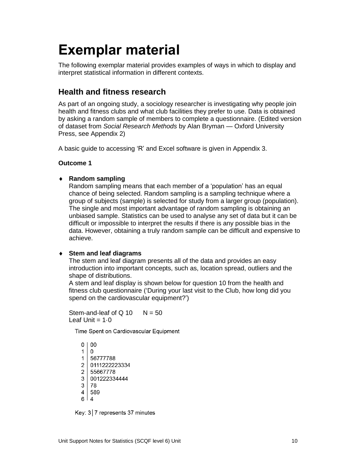## <span id="page-11-0"></span>**Exemplar material**

The following exemplar material provides examples of ways in which to display and interpret statistical information in different contexts.

### **Health and fitness research**

As part of an ongoing study, a sociology researcher is investigating why people join health and fitness clubs and what club facilities they prefer to use. Data is obtained by asking a random sample of members to complete a questionnaire. (Edited version of dataset from *Social Research Methods* by Alan Bryman — Oxford University Press, see Appendix 2)

A basic guide to accessing 'R' and Excel software is given in Appendix 3.

#### **Outcome 1**

#### **Random sampling**

Random sampling means that each member of a 'population' has an equal chance of being selected. Random sampling is a sampling technique where a group of subjects (sample) is selected for study from a larger group (population). The single and most important advantage of random sampling is obtaining an unbiased sample. Statistics can be used to analyse any set of data but it can be difficult or impossible to interpret the results if there is any possible bias in the data. However, obtaining a truly random sample can be difficult and expensive to achieve.

#### **Stem and leaf diagrams**

The stem and leaf diagram presents all of the data and provides an easy introduction into important concepts, such as, location spread, outliers and the shape of distributions.

A stem and leaf display is shown below for question 10 from the health and fitness club questionnaire ('During your last visit to the Club, how long did you spend on the cardiovascular equipment?')

Stem-and-leaf of  $Q_1$  10  $N = 50$ Leaf Unit  $= 1.0$ 

Time Spent on Cardiovascular Equipment

 $0<sub>1</sub>0<sub>0</sub>$  $1|0$ 1 56777788 2 0111222223334 2 55667778  $3<sup>1</sup>$ 001222334444  $3|$ 78  $4|589$  $6|4$ 

Key:  $3|7$  represents 37 minutes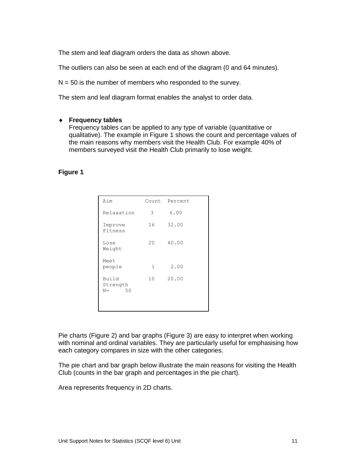The stem and leaf diagram orders the data as shown above.

The outliers can also be seen at each end of the diagram (0 and 64 minutes).

 $N = 50$  is the number of members who responded to the survey.

The stem and leaf diagram format enables the analyst to order data.

#### **Frequency tables**

Frequency tables can be applied to any type of variable (quantitative or qualitative). The example in Figure 1 shows the count and percentage values of the main reasons why members visit the Health Club. For example 40% of members surveyed visit the Health Club primarily to lose weight.

#### **Figure 1**

| Aim                              | Count | Percent |
|----------------------------------|-------|---------|
| Relaxation                       | 3     | 6.00    |
| Improve<br>Fitness               | 16    | 32.00   |
| Lose<br>Weight                   | 20    | 40.00   |
| Meet<br>people                   | 1     | 2.00    |
| Build<br>Strength<br>50<br>$N =$ | 10    | 20.00   |
|                                  |       |         |

Pie charts (Figure 2) and bar graphs (Figure 3) are easy to interpret when working with nominal and ordinal variables. They are particularly useful for emphasising how each category compares in size with the other categories.

The pie chart and bar graph below illustrate the main reasons for visiting the Health Club (counts in the bar graph and percentages in the pie chart).

Area represents frequency in 2D charts.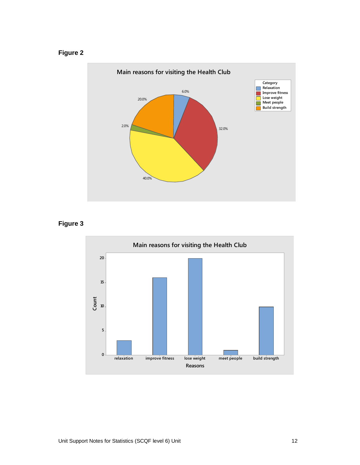



#### **Figure 3**

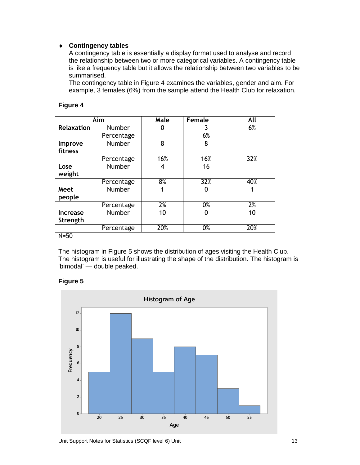#### **Contingency tables**

A contingency table is essentially a display format used to analyse and record the relationship between two or more categorical variables. A contingency table is like a frequency table but it allows the relationship between two variables to be summarised.

The contingency table in Figure 4 examines the variables, gender and aim. For example, 3 females (6%) from the sample attend the Health Club for relaxation.

#### **Figure 4**

| Aim               |               | Male | Female | All |
|-------------------|---------------|------|--------|-----|
| <b>Relaxation</b> | Number        |      | 3      | 6%  |
|                   | Percentage    |      | 6%     |     |
| Improve           | <b>Number</b> | 8    | 8      |     |
| fitness           |               |      |        |     |
|                   | Percentage    | 16%  | 16%    | 32% |
| Lose              | <b>Number</b> | 4    | 16     |     |
| weight            |               |      |        |     |
|                   | Percentage    | 8%   | 32%    | 40% |
| Meet              | <b>Number</b> | 1    | Ω      |     |
| people            |               |      |        |     |
|                   | Percentage    | 2%   | 0%     | 2%  |
| <b>Increase</b>   | <b>Number</b> | 10   | O      | 10  |
| Strength          |               |      |        |     |
|                   | Percentage    | 20%  | 0%     | 20% |
| $N=50$            |               |      |        |     |

The histogram in Figure 5 shows the distribution of ages visiting the Health Club. The histogram is useful for illustrating the shape of the distribution. The histogram is 'bimodal' — double peaked.

#### **Figure 5**

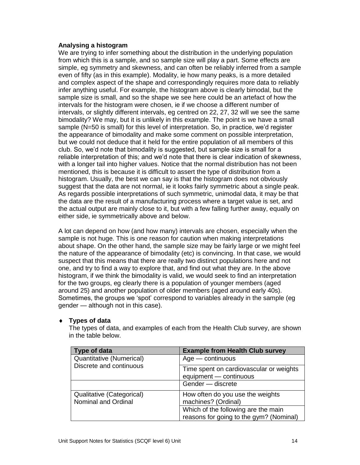#### **Analysing a histogram**

We are trying to infer something about the distribution in the underlying population from which this is a sample, and so sample size will play a part. Some effects are simple, eg symmetry and skewness, and can often be reliably inferred from a sample even of fifty (as in this example). Modality, ie how many peaks, is a more detailed and complex aspect of the shape and correspondingly requires more data to reliably infer anything useful. For example, the histogram above is clearly bimodal, but the sample size is small, and so the shape we see here could be an artefact of how the intervals for the histogram were chosen, ie if we choose a different number of intervals, or slightly different intervals, eg centred on 22, 27, 32 will we see the same bimodality? We may, but it is unlikely in this example. The point is we have a small sample (N=50 is small) for this level of interpretation. So, in practice, we'd register the appearance of bimodality and make some comment on possible interpretation, but we could not deduce that it held for the entire population of all members of this club. So, we'd note that bimodality is suggested, but sample size is small for a reliable interpretation of this; and we'd note that there is clear indication of skewness, with a longer tail into higher values. Notice that the normal distribution has not been mentioned, this is because it is difficult to assert the type of distribution from a histogram. Usually, the best we can say is that the histogram does not obviously suggest that the data are not normal, ie it looks fairly symmetric about a single peak. As regards possible interpretations of such symmetric, unimodal data, it may be that the data are the result of a manufacturing process where a target value is set, and the actual output are mainly close to it, but with a few falling further away, equally on either side, ie symmetrically above and below.

A lot can depend on how (and how many) intervals are chosen, especially when the sample is not huge. This is one reason for caution when making interpretations about shape. On the other hand, the sample size may be fairly large or we might feel the nature of the appearance of bimodality (etc) is convincing. In that case, we would suspect that this means that there are really two distinct populations here and not one, and try to find a way to explore that, and find out what they are. In the above histogram, if we think the bimodality is valid, we would seek to find an interpretation for the two groups, eg clearly there is a population of younger members (aged around 25) and another population of older members (aged around early 40s). Sometimes, the groups we 'spot' correspond to variables already in the sample (eg gender — although not in this case).

#### **Types of data**

The types of data, and examples of each from the Health Club survey, are shown in the table below.

| Type of data                                     | <b>Example from Health Club survey</b>                                         |
|--------------------------------------------------|--------------------------------------------------------------------------------|
| Quantitative (Numerical)                         | $Age - continuous$                                                             |
| Discrete and continuous                          | Time spent on cardiovascular or weights<br>equipment - continuous              |
|                                                  | Gender — discrete                                                              |
| Qualitative (Categorical)<br>Nominal and Ordinal | How often do you use the weights<br>machines? (Ordinal)                        |
|                                                  | Which of the following are the main<br>reasons for going to the gym? (Nominal) |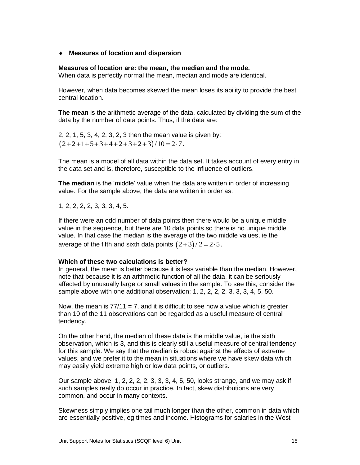#### **Measures of location and dispersion**

#### **Measures of location are: the mean, the median and the mode.**

When data is perfectly normal the mean, median and mode are identical.

However, when data becomes skewed the mean loses its ability to provide the best central location.

**The mean** is the arithmetic average of the data, calculated by dividing the sum of the data by the number of data points. Thus, if the data are:

2, 2, 1, 5, 3, 4, 2, 3, 2, 3 then the mean value is given by:<br> $(2+2+1+5+3+4+2+3+2+3)/10=2\cdot7$ .

The mean is a model of all data within the data set. It takes account of every entry in the data set and is, therefore, susceptible to the influence of outliers.

**The median** is the 'middle' value when the data are written in order of increasing value. For the sample above, the data are written in order as:

1, 2, 2, 2, 2, 3, 3, 3, 4, 5.

If there were an odd number of data points then there would be a unique middle value in the sequence, but there are 10 data points so there is no unique middle value. In that case the median is the average of the two middle values, ie the average of the fifth and sixth data points  $(2+3)/2 = 2 \cdot 5$ .

#### **Which of these two calculations is better?**

In general, the mean is better because it is less variable than the median. However, note that because it is an arithmetic function of all the data, it can be seriously affected by unusually large or small values in the sample. To see this, consider the sample above with one additional observation: 1, 2, 2, 2, 2, 3, 3, 3, 4, 5, 50.

Now, the mean is  $77/11 = 7$ , and it is difficult to see how a value which is greater than 10 of the 11 observations can be regarded as a useful measure of central tendency.

On the other hand, the median of these data is the middle value, ie the sixth observation, which is 3, and this is clearly still a useful measure of central tendency for this sample. We say that the median is robust against the effects of extreme values, and we prefer it to the mean in situations where we have skew data which may easily yield extreme high or low data points, or outliers.

Our sample above: 1, 2, 2, 2, 2, 3, 3, 3, 4, 5, 50, looks strange, and we may ask if such samples really do occur in practice. In fact, skew distributions are very common, and occur in many contexts.

Skewness simply implies one tail much longer than the other, common in data which are essentially positive, eg times and income. Histograms for salaries in the West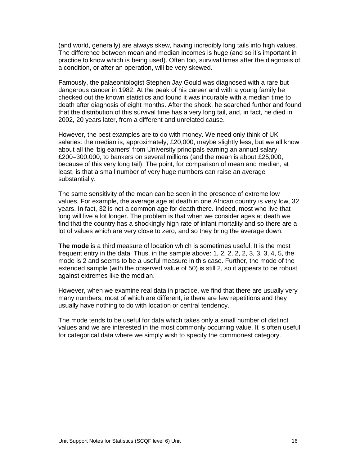(and world, generally) are always skew, having incredibly long tails into high values. The difference between mean and median incomes is huge (and so it's important in practice to know which is being used). Often too, survival times after the diagnosis of a condition, or after an operation, will be very skewed.

Famously, the palaeontologist Stephen Jay Gould was diagnosed with a rare but dangerous cancer in 1982. At the peak of his career and with a young family he checked out the known statistics and found it was incurable with a median time to death after diagnosis of eight months. After the shock, he searched further and found that the distribution of this survival time has a very long tail, and, in fact, he died in 2002, 20 years later, from a different and unrelated cause.

However, the best examples are to do with money. We need only think of UK salaries: the median is, approximately, £20,000, maybe slightly less, but we all know about all the 'big earners' from University principals earning an annual salary £200–300,000, to bankers on several millions (and the mean is about £25,000, because of this very long tail). The point, for comparison of mean and median, at least, is that a small number of very huge numbers can raise an average substantially.

The same sensitivity of the mean can be seen in the presence of extreme low values. For example, the average age at death in one African country is very low, 32 years. In fact, 32 is not a common age for death there. Indeed, most who live that long will live a lot longer. The problem is that when we consider ages at death we find that the country has a shockingly high rate of infant mortality and so there are a lot of values which are very close to zero, and so they bring the average down.

**The mode** is a third measure of location which is sometimes useful. It is the most frequent entry in the data. Thus, in the sample above: 1, 2, 2, 2, 2, 3, 3, 3, 4, 5, the mode is 2 and seems to be a useful measure in this case. Further, the mode of the extended sample (with the observed value of 50) is still 2, so it appears to be robust against extremes like the median.

However, when we examine real data in practice, we find that there are usually very many numbers, most of which are different, ie there are few repetitions and they usually have nothing to do with location or central tendency.

The mode tends to be useful for data which takes only a small number of distinct values and we are interested in the most commonly occurring value. It is often useful for categorical data where we simply wish to specify the commonest category.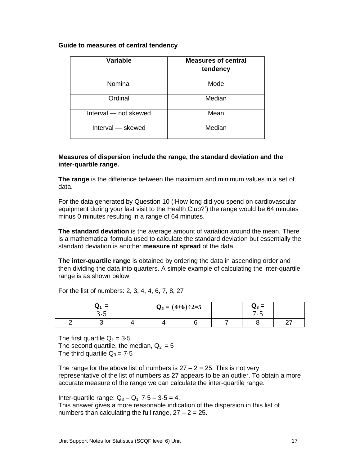#### **Guide to measures of central tendency**

| Variable              | <b>Measures of central</b><br>tendency |
|-----------------------|----------------------------------------|
| Nominal               | Mode                                   |
| Ordinal               | Median                                 |
| Interval - not skewed | Mean                                   |
| Interval - skewed     | Median                                 |

#### **Measures of dispersion include the range, the standard deviation and the inter-quartile range.**

**The range** is the difference between the maximum and minimum values in a set of data.

For the data generated by Question 10 ('How long did you spend on cardiovascular equipment during your last visit to the Health Club?') the range would be 64 minutes minus 0 minutes resulting in a range of 64 minutes.

**The standard deviation** is the average amount of variation around the mean. There is a mathematical formula used to calculate the standard deviation but essentially the standard deviation is another **measure of spread** of the data.

**The inter-quartile range** is obtained by ordering the data in ascending order and then dividing the data into quarters. A simple example of calculating the inter-quartile range is as shown below.

For the list of numbers: 2, 3, 4, 4, 6, 7, 8, 27

| $Q_1 =$<br>. .<br>ີ<br>ັ | $Q_2 = (4+6)-2=5$ |  | $\mathbf{Q}_3 =$ |        |
|--------------------------|-------------------|--|------------------|--------|
|                          |                   |  |                  | $\sim$ |

The first quartile  $Q_1 = 3.5$ The second quartile, the median,  $Q_2 = 5$ The third quartile  $Q_3 = 7.5$ 

The range for the above list of numbers is  $27 - 2 = 25$ . This is not very representative of the list of numbers as 27 appears to be an outlier. To obtain a more accurate measure of the range we can calculate the inter-quartile range.

Inter-quartile range:  $Q_3 - Q_1$ :  $7.5 - 3.5 = 4$ . This answer gives a more reasonable indication of the dispersion in this list of numbers than calculating the full range,  $27 - 2 = 25$ .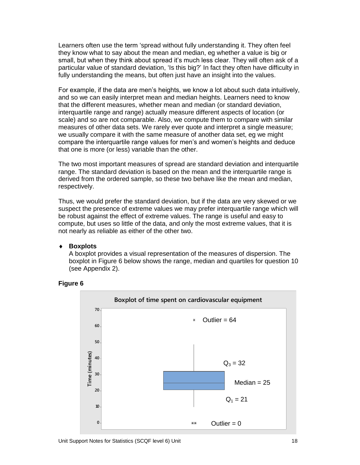Learners often use the term 'spread without fully understanding it. They often feel they know what to say about the mean and median, eg whether a value is big or small, but when they think about spread it's much less clear. They will often ask of a particular value of standard deviation, 'Is this big?' In fact they often have difficulty in fully understanding the means, but often just have an insight into the values.

For example, if the data are men's heights, we know a lot about such data intuitively, and so we can easily interpret mean and median heights. Learners need to know that the different measures, whether mean and median (or standard deviation, interquartile range and range) actually measure different aspects of location (or scale) and so are not comparable. Also, we compute them to compare with similar measures of other data sets. We rarely ever quote and interpret a single measure; we usually compare it with the same measure of another data set, eg we might compare the interquartile range values for men's and women's heights and deduce that one is more (or less) variable than the other.

The two most important measures of spread are standard deviation and interquartile range. The standard deviation is based on the mean and the interquartile range is derived from the ordered sample, so these two behave like the mean and median, respectively.

Thus, we would prefer the standard deviation, but if the data are very skewed or we suspect the presence of extreme values we may prefer interquartile range which will be robust against the effect of extreme values. The range is useful and easy to compute, but uses so little of the data, and only the most extreme values, that it is not nearly as reliable as either of the other two.

#### **Boxplots**

A boxplot provides a visual representation of the measures of dispersion. The boxplot in Figure 6 below shows the range, median and quartiles for question 10 (see Appendix 2).



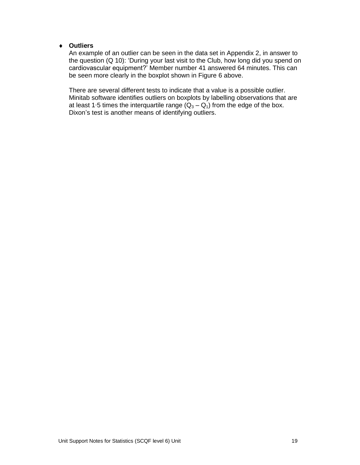#### **Outliers**

An example of an outlier can be seen in the data set in Appendix 2, in answer to the question (Q 10): 'During your last visit to the Club, how long did you spend on cardiovascular equipment?' Member number 41 answered 64 minutes. This can be seen more clearly in the boxplot shown in Figure 6 above.

There are several different tests to indicate that a value is a possible outlier. Minitab software identifies outliers on boxplots by labelling observations that are at least 1⋅5 times the interquartile range  $(Q_3 - Q_1)$  from the edge of the box. Dixon's test is another means of identifying outliers.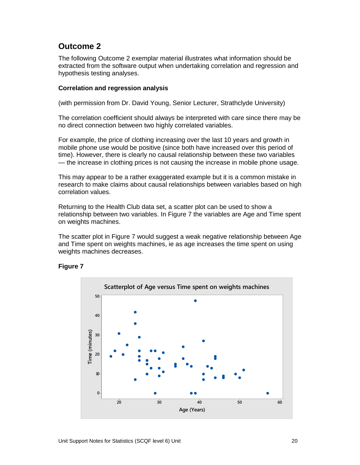#### **Outcome 2**

The following Outcome 2 exemplar material illustrates what information should be extracted from the software output when undertaking correlation and regression and hypothesis testing analyses.

#### **Correlation and regression analysis**

(with permission from Dr. David Young, Senior Lecturer, Strathclyde University)

The correlation coefficient should always be interpreted with care since there may be no direct connection between two highly correlated variables.

For example, the price of clothing increasing over the last 10 years and growth in mobile phone use would be positive (since both have increased over this period of time). However, there is clearly no causal relationship between these two variables — the increase in clothing prices is not causing the increase in mobile phone usage.

This may appear to be a rather exaggerated example but it is a common mistake in research to make claims about causal relationships between variables based on high correlation values.

Returning to the Health Club data set, a scatter plot can be used to show a relationship between two variables. In Figure 7 the variables are Age and Time spent on weights machines.

The scatter plot in Figure 7 would suggest a weak negative relationship between Age and Time spent on weights machines, ie as age increases the time spent on using weights machines decreases.

#### **Figure 7**

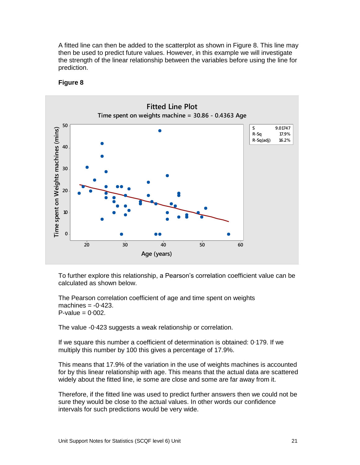A fitted line can then be added to the scatterplot as shown in Figure 8. This line may then be used to predict future values. However, in this example we will investigate the strength of the linear relationship between the variables before using the line for prediction.



#### **Figure 8**

To further explore this relationship, a Pearson's correlation coefficient value can be calculated as shown below.

The Pearson correlation coefficient of age and time spent on weights machines =  $-0.423$ .  $P$ -value = 0 $·$ 002.

The value -0∙423 suggests a weak relationship or correlation.

If we square this number a coefficient of determination is obtained: 0∙179. If we multiply this number by 100 this gives a percentage of 17.9%.

This means that 17.9% of the variation in the use of weights machines is accounted for by this linear relationship with age. This means that the actual data are scattered widely about the fitted line, ie some are close and some are far away from it.

Therefore, if the fitted line was used to predict further answers then we could not be sure they would be close to the actual values. In other words our confidence intervals for such predictions would be very wide.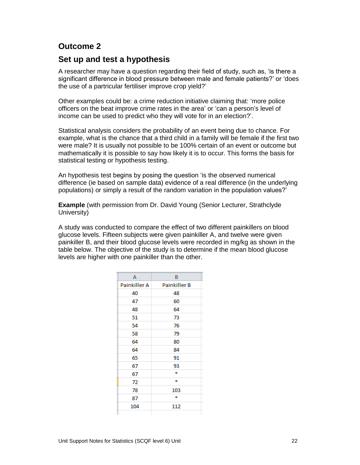#### **Outcome 2**

#### **Set up and test a hypothesis**

A researcher may have a question regarding their field of study, such as, 'is there a significant difference in blood pressure between male and female patients?' or 'does the use of a partricular fertiliser improve crop yield?'

Other examples could be: a crime reduction initiative claiming that: 'more police officers on the beat improve crime rates in the area' or 'can a person's level of income can be used to predict who they will vote for in an election?'.

Statistical analysis considers the probability of an event being due to chance. For example, what is the chance that a third child in a family will be female if the first two were male? It is usually not possible to be 100% certain of an event or outcome but mathematically it is possible to say how likely it is to occur. This forms the basis for statistical testing or hypothesis testing.

An hypothesis test begins by posing the question 'is the observed numerical difference (ie based on sample data) evidence of a real difference (in the underlying populations) or simply a result of the random variation in the population values?'

**Example** (with permission from Dr. David Young (Senior Lecturer, Strathclyde University)

A study was conducted to compare the effect of two different painkillers on blood glucose levels. Fifteen subjects were given painkiller A, and twelve were given painkiller B, and their blood glucose levels were recorded in mg/kg as shown in the table below. The objective of the study is to determine if the mean blood glucose levels are higher with one painkiller than the other.

| А            | в            |
|--------------|--------------|
| Painkiller A | Painkiller B |
| 40           | 48           |
| 47           | 60           |
| 48           | 64           |
| 51           | 73           |
| 54           | 76           |
| 58           | 79           |
| 64           | 80           |
| 64           | 84           |
| 65           | 91           |
| 67           | 93           |
| 67           | $\ast$       |
| 72           | *            |
| 78           | 103          |
| 87           | *            |
| 104          | 112          |
|              |              |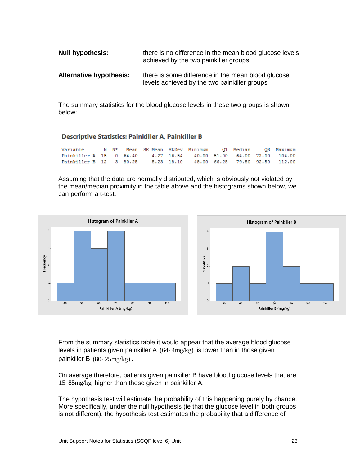| <b>Null hypothesis:</b>        | there is no difference in the mean blood glucose levels<br>achieved by the two painkiller groups   |
|--------------------------------|----------------------------------------------------------------------------------------------------|
| <b>Alternative hypothesis:</b> | there is some difference in the mean blood glucose<br>levels achieved by the two painkiller groups |

The summary statistics for the blood glucose levels in these two groups is shown below:

#### **Descriptive Statistics: Painkiller A, Painkiller B**

| Variable      N N* Mean SE Mean StDev Minimum     01 Median     03 Maximum |  |  |  |  |  |
|----------------------------------------------------------------------------|--|--|--|--|--|
| Painkiller A 15 0 64.40 4.27 16.54 40.00 51.00 64.00 72.00 104.00          |  |  |  |  |  |
| Painkiller B 12 3 80.25 5.23 18.10 48.00 66.25 79.50 92.50 112.00          |  |  |  |  |  |

Assuming that the data are normally distributed, which is obviously not violated by the mean/median proximity in the table above and the histograms shown below, we can perform a t-test.



From the summary statistics table it would appear that the average blood glucose levels in patients given painkiller A (64 4mg/kg) is lower than in those given painkiller B (80 · 25mg/kg).

On average therefore, patients given painkiller B have blood glucose levels that are 15 85mg/kg higher than those given in painkiller A.

The hypothesis test will estimate the probability of this happening purely by chance. More specifically, under the null hypothesis (ie that the glucose level in both groups is not different), the hypothesis test estimates the probability that a difference of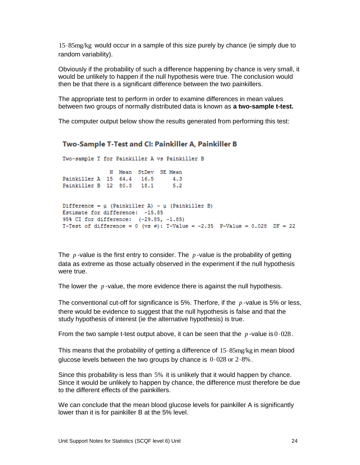$15.85$ mg/kg would occur in a sample of this size purely by chance (ie simply due to random variability).

Obviously if the probability of such a difference happening by chance is very small, it would be unlikely to happen if the null hypothesis were true. The conclusion would then be that there is a significant difference between the two painkillers.

The appropriate test to perform in order to examine differences in mean values between two groups of normally distributed data is known as **a two-sample t-test.**

The computer output below show the results generated from performing this test:

```
IS AStragky would occur in a sample of this size purely by chance (ie simply due to chancing the probability of such a difference happening by chance is very small, \alphaChoviosly if the probability of such a difference ha
```
The  $p$ -value is the first entry to consider. The  $p$ -value is the probability of getting data as extreme as those actually observed in the experiment if the null hypothesis were true.

The lower the *p* -value, the more evidence there is against the null hypothesis.

The conventional cut-off for significance is 5%. Therfore, if the *p* -value is 5% or less, there would be evidence to suggest that the null hypothesis is false and that the study hypothesis of interest (ie the alternative hypothesis) is true.

From the two sample t-test output above, it can be seen that the  $p$ -value is  $0.028$ .

This means that the probability of getting a difference of  $15.85$ mg/kg in mean blood glucose levels between the two groups by chance is  $0.028$  or  $2.8\%$ .

Since this probability is less than 5% it is unlikely that it would happen by chance. Since it would be unlikely to happen by chance, the difference must therefore be due to the different effects of the painkillers.

We can conclude that the mean blood glucose levels for painkiller A is significantly lower than it is for painkiller B at the 5% level.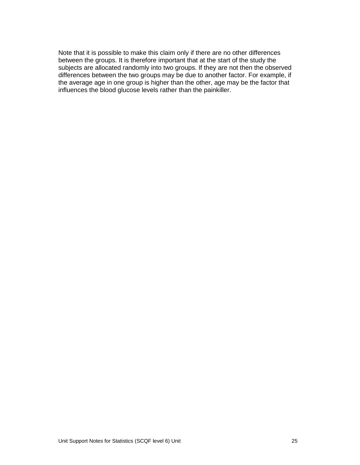Note that it is possible to make this claim only if there are no other differences between the groups. It is therefore important that at the start of the study the subjects are allocated randomly into two groups. If they are not then the observed differences between the two groups may be due to another factor. For example, if the average age in one group is higher than the other, age may be the factor that influences the blood glucose levels rather than the painkiller.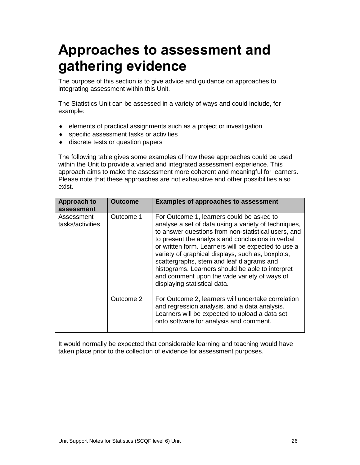### <span id="page-27-0"></span>**Approaches to assessment and gathering evidence**

The purpose of this section is to give advice and guidance on approaches to integrating assessment within this Unit.

The Statistics Unit can be assessed in a variety of ways and could include, for example:

- elements of practical assignments such as a project or investigation
- specific assessment tasks or activities
- $\bullet$  discrete tests or question papers

The following table gives some examples of how these approaches could be used within the Unit to provide a varied and integrated assessment experience. This approach aims to make the assessment more coherent and meaningful for learners. Please note that these approaches are not exhaustive and other possibilities also exist.

| <b>Approach to</b>             | <b>Outcome</b> | <b>Examples of approaches to assessment</b>                                                                                                                                                                                                                                                                                                                                                                                                                                                                |
|--------------------------------|----------------|------------------------------------------------------------------------------------------------------------------------------------------------------------------------------------------------------------------------------------------------------------------------------------------------------------------------------------------------------------------------------------------------------------------------------------------------------------------------------------------------------------|
| assessment                     |                |                                                                                                                                                                                                                                                                                                                                                                                                                                                                                                            |
| Assessment<br>tasks/activities | Outcome 1      | For Outcome 1, learners could be asked to<br>analyse a set of data using a variety of techniques,<br>to answer questions from non-statistical users, and<br>to present the analysis and conclusions in verbal<br>or written form. Learners will be expected to use a<br>variety of graphical displays, such as, boxplots,<br>scattergraphs, stem and leaf diagrams and<br>histograms. Learners should be able to interpret<br>and comment upon the wide variety of ways of<br>displaying statistical data. |
|                                | Outcome 2      | For Outcome 2, learners will undertake correlation<br>and regression analysis, and a data analysis.<br>Learners will be expected to upload a data set<br>onto software for analysis and comment.                                                                                                                                                                                                                                                                                                           |

It would normally be expected that considerable learning and teaching would have taken place prior to the collection of evidence for assessment purposes.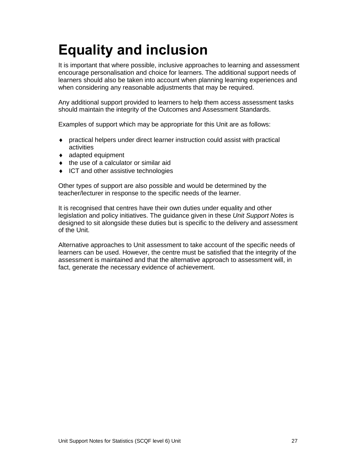# <span id="page-28-0"></span>**Equality and inclusion**

It is important that where possible, inclusive approaches to learning and assessment encourage personalisation and choice for learners. The additional support needs of learners should also be taken into account when planning learning experiences and when considering any reasonable adjustments that may be required.

Any additional support provided to learners to help them access assessment tasks should maintain the integrity of the Outcomes and Assessment Standards.

Examples of support which may be appropriate for this Unit are as follows:

- practical helpers under direct learner instruction could assist with practical activities
- ◆ adapted equipment
- ◆ the use of a calculator or similar aid
- ◆ ICT and other assistive technologies

Other types of support are also possible and would be determined by the teacher/lecturer in response to the specific needs of the learner.

It is recognised that centres have their own duties under equality and other legislation and policy initiatives. The guidance given in these *Unit Support Notes* is designed to sit alongside these duties but is specific to the delivery and assessment of the Unit.

Alternative approaches to Unit assessment to take account of the specific needs of learners can be used. However, the centre must be satisfied that the integrity of the assessment is maintained and that the alternative approach to assessment will, in fact, generate the necessary evidence of achievement.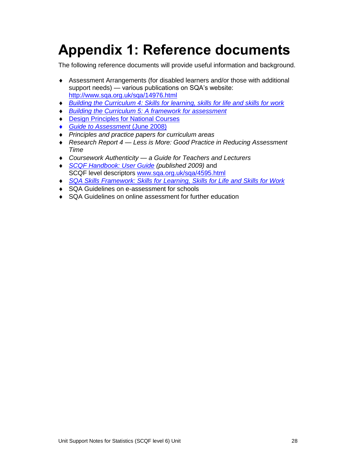## <span id="page-29-0"></span>**Appendix 1: Reference documents**

The following reference documents will provide useful information and background.

- Assessment Arrangements (for disabled learners and/or those with additional support needs) — various publications on SQA's website: <http://www.sqa.org.uk/sqa/14976.html>
- *[Building the Curriculum 4: Skills for learning, skills for life and skills for work](http://www.ltscotland.org.uk/buildingyourcurriculum/policycontext/btc/btc4.asp)*
- *[Building the Curriculum 5: A framework for assessment](http://www.ltscotland.org.uk/buildingyourcurriculum/policycontext/btc/btc5.asp)*
- ◆ **[Design Principles for National Courses](http://www.sqa.org.uk/sqa/68410.5165.html)**
- *[Guide to Assessment](http://www.sqa.org.uk/files_ccc/25GuideToAssessment.pdf)* (June 2008)
- *Principles and practice papers for curriculum areas*
- *Research Report 4 — Less is More: Good Practice in Reducing Assessment Time*
- *Coursework Authenticity — a Guide for Teachers and Lecturers*
- *[SCQF Handbook: User Guide](http://www.scqf.org.uk/Resources) (published 2009)* and SCQF level descriptors [www.sqa.org.uk/sqa/4595.html](http://www.sqa.org.uk/sqa/4595.html)
- *[SQA Skills Framework: Skills for Learning, Skills](http://www.sqa.org.uk/sqa/63101.html) for Life and Skills for Work*
- ◆ SQA Guidelines on e-assessment for schools
- SQA Guidelines on online assessment for further education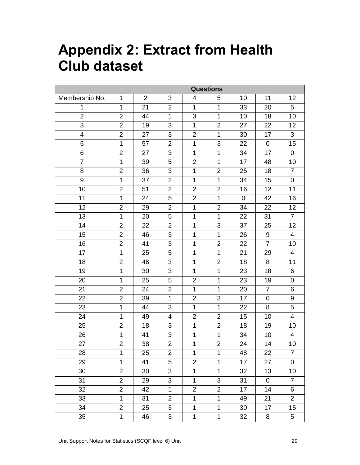### <span id="page-30-0"></span>**Appendix 2: Extract from Health Club dataset**

|                          | <b>Questions</b> |                |                |                |                |             |                |                |  |  |
|--------------------------|------------------|----------------|----------------|----------------|----------------|-------------|----------------|----------------|--|--|
| Membership No.           | $\mathbf{1}$     | $\overline{2}$ | 3              | 4              | 5              | 10          | 11             | 12             |  |  |
| 1                        | $\mathbf{1}$     | 21             | $\overline{2}$ | $\mathbf{1}$   | $\mathbf{1}$   | 33          | 20             | 5              |  |  |
| $\overline{2}$           | $\overline{2}$   | 44             | $\mathbf{1}$   | 3              | $\mathbf{1}$   | 10          | 18             | 10             |  |  |
| $\overline{3}$           | $\overline{2}$   | 19             | 3              | $\mathbf{1}$   | $\overline{2}$ | 27          | 22             | 12             |  |  |
| $\overline{\mathcal{A}}$ | $\overline{2}$   | 27             | 3              | $\overline{c}$ | $\mathbf{1}$   | 30          | 17             | 3              |  |  |
| 5                        | 1                | 57             | $\overline{2}$ | $\mathbf{1}$   | $\overline{3}$ | 22          | 0              | 15             |  |  |
| $\,6$                    | $\overline{2}$   | 27             | 3              | $\mathbf 1$    | $\mathbf{1}$   | 34          | 17             | $\mathbf 0$    |  |  |
| $\overline{7}$           | $\mathbf{1}$     | 39             | 5              | $\overline{c}$ | $\mathbf{1}$   | 17          | 48             | 10             |  |  |
| 8                        | $\overline{2}$   | 36             | 3              | $\mathbf{1}$   | $\overline{2}$ | 25          | 18             | $\overline{7}$ |  |  |
| $\boldsymbol{9}$         | $\mathbf{1}$     | 37             | $\overline{2}$ | $\mathbf{1}$   | $\mathbf{1}$   | 34          | 15             | 0              |  |  |
| 10                       | $\overline{2}$   | 51             | $\overline{2}$ | $\overline{2}$ | $\overline{2}$ | 16          | 12             | 11             |  |  |
| 11                       | $\mathbf 1$      | 24             | 5              | $\overline{c}$ | $\mathbf{1}$   | $\mathbf 0$ | 42             | 16             |  |  |
| 12                       | $\overline{2}$   | 29             | $\overline{2}$ | $\mathbf{1}$   | $\overline{2}$ | 34          | 22             | 12             |  |  |
| 13                       | $\mathbf{1}$     | 20             | 5              | $\mathbf{1}$   | $\mathbf{1}$   | 22          | 31             | $\overline{7}$ |  |  |
| 14                       | $\overline{2}$   | 22             | $\overline{2}$ | $\mathbf{1}$   | 3              | 37          | 25             | 12             |  |  |
| 15                       | $\overline{2}$   | 46             | 3              | $\mathbf{1}$   | $\mathbf{1}$   | 26          | 9              | $\overline{4}$ |  |  |
| 16                       | $\overline{c}$   | 41             | $\mathfrak{S}$ | $\mathbf{1}$   | $\overline{2}$ | 22          | $\overline{7}$ | 10             |  |  |
| 17                       | $\mathbf{1}$     | 25             | 5              | $\mathbf{1}$   | $\mathbf{1}$   | 21          | 29             | $\overline{4}$ |  |  |
| 18                       | $\overline{2}$   | 46             | 3              | $\mathbf{1}$   | $\overline{2}$ | 18          | 8              | 11             |  |  |
| 19                       | $\mathbf{1}$     | 30             | 3              | $\mathbf{1}$   | $\mathbf{1}$   | 23          | 18             | 6              |  |  |
| 20                       | $\mathbf 1$      | 25             | 5              | $\overline{c}$ | $\mathbf{1}$   | 23          | 19             | 0              |  |  |
| 21                       | $\overline{2}$   | 24             | $\overline{2}$ | $\mathbf{1}$   | $\mathbf{1}$   | 20          | $\overline{7}$ | 6              |  |  |
| 22                       | $\overline{2}$   | 39             | $\mathbf{1}$   | $\overline{2}$ | 3              | 17          | $\pmb{0}$      | 9              |  |  |
| 23                       | $\mathbf{1}$     | 44             | $\mathfrak{S}$ | $\mathbf{1}$   | $\mathbf{1}$   | 22          | 8              | 5              |  |  |
| 24                       | $\mathbf{1}$     | 49             | 4              | $\overline{2}$ | $\overline{2}$ | 15          | 10             | $\overline{4}$ |  |  |
| 25                       | $\overline{2}$   | 18             | 3              | $\mathbf{1}$   | $\overline{2}$ | 18          | 19             | 10             |  |  |
| 26                       | $\mathbf{1}$     | 41             | $\mathfrak{S}$ | $\mathbf{1}$   | $\mathbf{1}$   | 34          | 10             | 4              |  |  |
| 27                       | $\overline{2}$   | 38             | $\overline{2}$ | $\mathbf{1}$   | $\overline{2}$ | 24          | 14             | 10             |  |  |
| 28                       | 1                | 25             | $\overline{2}$ | $\mathbf{1}$   | 1              | 48          | 22             | $\overline{7}$ |  |  |
| 29                       | $\mathbf 1$      | 41             | 5              | $\overline{c}$ | $\mathbf 1$    | 17          | 27             | $\mathbf 0$    |  |  |
| 30                       | $\overline{2}$   | 30             | 3              | $\mathbf{1}$   | $\mathbf 1$    | 32          | 13             | 10             |  |  |
| 31                       | $\overline{2}$   | 29             | 3              | $\mathbf{1}$   | 3              | 31          | 0              | $\overline{7}$ |  |  |
| 32                       | $\overline{2}$   | 42             | $\mathbf{1}$   | $\overline{c}$ | $\overline{2}$ | 17          | 14             | 6              |  |  |
| 33                       | 1                | 31             | $\overline{2}$ | $\mathbf{1}$   | $\mathbf{1}$   | 49          | 21             | $\overline{2}$ |  |  |
| 34                       | $\overline{2}$   | 25             | 3              | $\mathbf{1}$   | $\mathbf{1}$   | 30          | 17             | 15             |  |  |
| 35                       | 1                | 46             | 3              | $\mathbf{1}$   | 1              | 32          | 8              | 5              |  |  |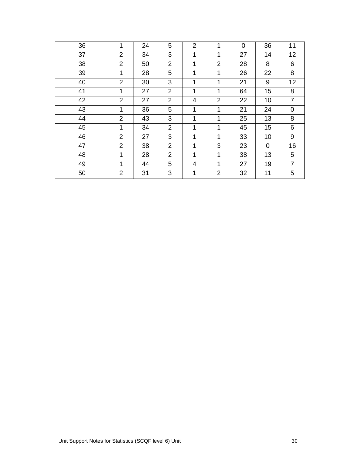| 36 | 1              | 24 | 5              | $\overline{2}$ | 1              | 0  | 36 | 11             |
|----|----------------|----|----------------|----------------|----------------|----|----|----------------|
| 37 | $\overline{2}$ | 34 | 3              | 1              | 1              | 27 | 14 | 12             |
| 38 | $\overline{2}$ | 50 | $\overline{2}$ | 1              | $\overline{2}$ | 28 | 8  | 6              |
| 39 | 1              | 28 | 5              | 1              | 1              | 26 | 22 | 8              |
| 40 | $\overline{2}$ | 30 | 3              | 1              | 1              | 21 | 9  | 12             |
| 41 | 1              | 27 | 2              | 1              | 1              | 64 | 15 | 8              |
| 42 | $\overline{2}$ | 27 | $\overline{2}$ | 4              | $\overline{2}$ | 22 | 10 | $\overline{7}$ |
| 43 | 1              | 36 | 5              | $\mathbf{1}$   | 1              | 21 | 24 | $\overline{0}$ |
| 44 | $\overline{2}$ | 43 | 3              | 1              | 1              | 25 | 13 | 8              |
| 45 | $\mathbf{1}$   | 34 | 2              | 1              | $\mathbf{1}$   | 45 | 15 | 6              |
| 46 | $\overline{2}$ | 27 | 3              | 1              | $\mathbf{1}$   | 33 | 10 | 9              |
| 47 | $\overline{2}$ | 38 | 2              | 1              | 3              | 23 | 0  | 16             |
| 48 | 1              | 28 | $\overline{2}$ | 1              | $\mathbf{1}$   | 38 | 13 | 5              |
| 49 | 1              | 44 | 5              | 4              | 1              | 27 | 19 | $\overline{7}$ |
| 50 | $\overline{2}$ | 31 | 3              | $\mathbf{1}$   | 2              | 32 | 11 | 5              |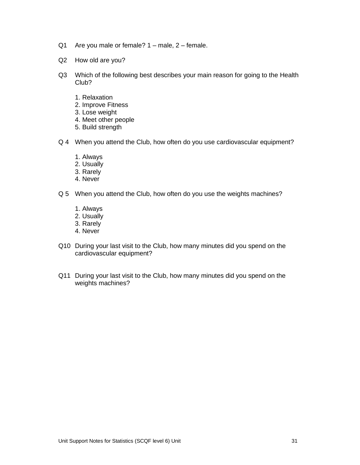- Q1 Are you male or female? 1 male, 2 female.
- Q2 How old are you?
- Q3 Which of the following best describes your main reason for going to the Health Club?
	- 1. Relaxation
	- 2. Improve Fitness
	- 3. Lose weight
	- 4. Meet other people
	- 5. Build strength
- Q 4 When you attend the Club, how often do you use cardiovascular equipment?
	- 1. Always
	- 2. Usually
	- 3. Rarely
	- 4. Never
- Q 5 When you attend the Club, how often do you use the weights machines?
	- 1. Always
	- 2. Usually
	- 3. Rarely
	- 4. Never
- Q10 During your last visit to the Club, how many minutes did you spend on the cardiovascular equipment?
- Q11 During your last visit to the Club, how many minutes did you spend on the weights machines?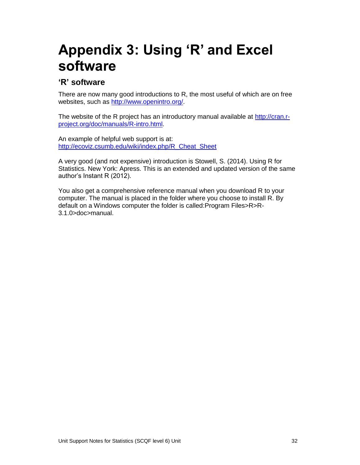## <span id="page-33-0"></span>**Appendix 3: Using 'R' and Excel software**

#### **'R' software**

There are now many good introductions to R, the most useful of which are on free websites, such as [http://www.openintro.org/.](http://www.openintro.org/)

The website of the R project has an introductory manual available at [http://cran.r](http://cran.r-project.org/doc/manuals/R-intro.html)[project.org/doc/manuals/R-intro.html.](http://cran.r-project.org/doc/manuals/R-intro.html)

An example of helpful web support is at: [http://ecoviz.csumb.edu/wiki/index.php/R\\_Cheat\\_Sheet](http://ecoviz.csumb.edu/wiki/index.php/R_Cheat_Sheet)

A very good (and not expensive) introduction is Stowell, S. (2014). Using R for Statistics. New York: Apress. This is an extended and updated version of the same author's Instant R (2012).

You also get a comprehensive reference manual when you download R to your computer. The manual is placed in the folder where you choose to install R. By default on a Windows computer the folder is called:Program Files>R>R-3.1.0>doc>manual.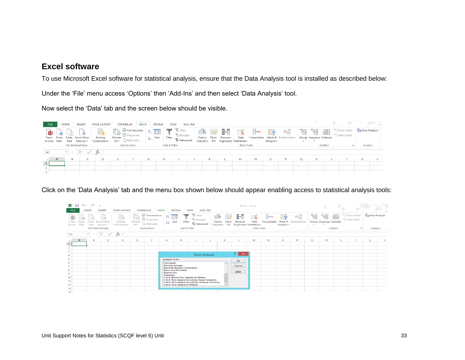#### **Excel software**

To use Microsoft Excel software for statistical analysis, ensure that the Data Analysis tool is installed as described below:

Under the 'File' menu access 'Options' then 'Add-Ins' and then select 'Data Analysis' tool.

Now select the 'Data' tab and the screen below should be visible.



Click on the 'Data Analysis' tab and the menu box shown below should appear enabling access to statistical analysis tools:

| 文目<br><b>FILE</b>                        |             | 日う・さ・・<br><b>HOME</b> | <b>INSERT</b>                                                      | PAGE LAYOUT                  | FORMULAS                                | DATA                                                                     | REVIEW                                                                                                                                                                                                                                                                                                                        |                         | VIEW                                                       | ADD-INS       |                          |                          |                                | Book1 - Excel                                      |                  |                   |                                                           |                               |                                      |              |                                                                                                |          |   |
|------------------------------------------|-------------|-----------------------|--------------------------------------------------------------------|------------------------------|-----------------------------------------|--------------------------------------------------------------------------|-------------------------------------------------------------------------------------------------------------------------------------------------------------------------------------------------------------------------------------------------------------------------------------------------------------------------------|-------------------------|------------------------------------------------------------|---------------|--------------------------|--------------------------|--------------------------------|----------------------------------------------------|------------------|-------------------|-----------------------------------------------------------|-------------------------------|--------------------------------------|--------------|------------------------------------------------------------------------------------------------|----------|---|
| From<br>Access                           | From<br>Web | From<br>Text          | $\circ$<br>From Other<br>Sources <sup>+</sup><br>Get External Data | R<br>Existing<br>Connections | Ŀ<br>Refresh<br>$\triangle \parallel$ - | Connections<br><b>E</b> Properties<br><b>B</b> Edit Links<br>Connections | $\frac{A}{2}$ $\frac{Z}{A}$ $\frac{A}{Z}$<br>Sort<br>šJ.                                                                                                                                                                                                                                                                      | Filter<br>Sort & Filter | $\overline{bc}$ Clear<br><b>T</b> o Reapply<br>Ty Advanced |               | éè<br>Text to<br>Columns | E,<br>Flash<br>Fill      | 64<br>Remove                   | ⊚<br>Data<br>Duplicates Validation *<br>Data Tools | ⊩<br>Consolidate | ៉ា?<br>Analysis - | $\mathbb{R}^{\square}_{\square}$<br>What-If Relationships | 禰<br>$\overline{\phantom{a}}$ | <b>FAR</b><br>Group Ungroup Subtotal | Æ<br>Outline | <sup>+</sup> Show Detail   <b>In Data Analysis</b><br>- Hide Detail<br>$\overline{\mathbb{R}}$ | Analysis |   |
| A1                                       |             | $\mathcal{L}$         | $\mathbb{R} \times \mathbb{R}$                                     | $f_x$                        |                                         |                                                                          |                                                                                                                                                                                                                                                                                                                               |                         |                                                            |               |                          |                          |                                |                                                    |                  |                   |                                                           |                               |                                      |              |                                                                                                |          |   |
| 3                                        |             |                       |                                                                    | Ð                            | E                                       |                                                                          | G                                                                                                                                                                                                                                                                                                                             | н                       |                                                            |               | κ                        |                          |                                | M                                                  | N                | $\circ$           | P                                                         | $\Omega$                      | R                                    | s            |                                                                                                | U        | v |
| 4                                        |             |                       |                                                                    |                              |                                         |                                                                          |                                                                                                                                                                                                                                                                                                                               |                         |                                                            | Data Analysis |                          |                          | $\mathbf{x}$<br>2 <sup>1</sup> |                                                    |                  |                   |                                                           |                               |                                      |              |                                                                                                |          |   |
| 6<br>-<br>8<br>9<br>10<br>11<br>12<br>13 |             |                       |                                                                    |                              |                                         |                                                                          | <b>Analysis Tools</b><br>Histogram<br><b>Moving Average</b><br><b>Random Number Generation</b><br><b>Rank and Percentile</b><br>Regression<br>Sampling<br>t-Test: Paired Two Sample for Means<br>t-Test: Two-Sample Assuming Equal Variances<br>t-Test: Two-Sample Assuming Unequal Variances<br>z-Test: Two Sample for Means |                         |                                                            |               |                          | $\overline{\phantom{a}}$ | OK<br>Cancel<br>Help           |                                                    |                  |                   |                                                           |                               |                                      |              |                                                                                                |          |   |